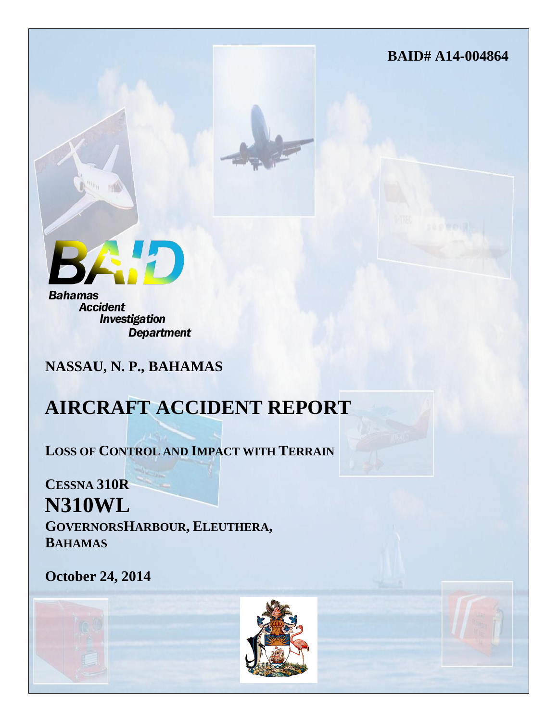**BAID# A14-004864**

**Bahamas Accident** 

**Investigation Department** 

**NASSAU, N. P., BAHAMAS**

# **AIRCRAFT ACCIDENT REPORT**

**LOSS OF CONTROL AND IMPACT WITH TERRAIN**

**CESSNA 310R N310WL GOVERNORSHARBOUR, ELEUTHERA, BAHAMAS**

**October 24, 2014**



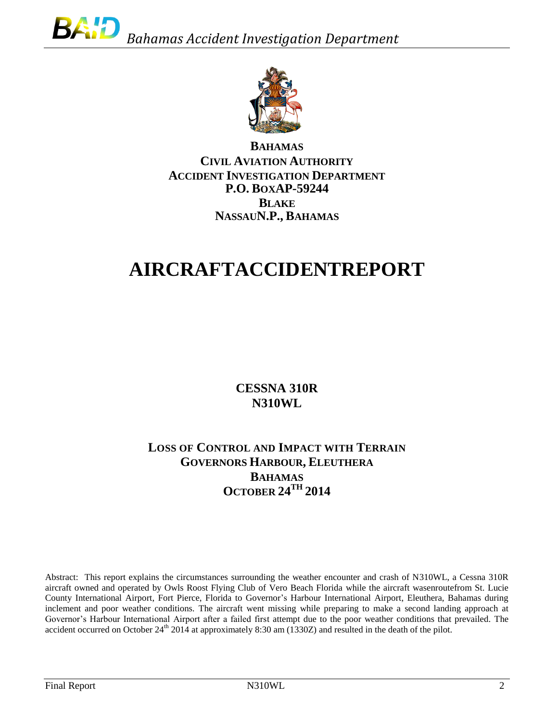

**BAHAMAS CIVIL AVIATION AUTHORITY ACCIDENT INVESTIGATION DEPARTMENT P.O. BOXAP-59244 BLAKE NASSAUN.P., BAHAMAS**

# **AIRCRAFTACCIDENTREPORT**

**CESSNA 310R N310WL**

# **LOSS OF CONTROL AND IMPACT WITH TERRAIN GOVERNORS HARBOUR, ELEUTHERA BAHAMAS OCTOBER 24TH 2014**

Abstract: This report explains the circumstances surrounding the weather encounter and crash of N310WL, a Cessna 310R aircraft owned and operated by Owls Roost Flying Club of Vero Beach Florida while the aircraft wasenroutefrom St. Lucie County International Airport, Fort Pierce, Florida to Governor's Harbour International Airport, Eleuthera, Bahamas during inclement and poor weather conditions. The aircraft went missing while preparing to make a second landing approach at Governor's Harbour International Airport after a failed first attempt due to the poor weather conditions that prevailed. The accident occurred on October  $24<sup>th</sup> 2014$  at approximately 8:30 am (1330Z) and resulted in the death of the pilot.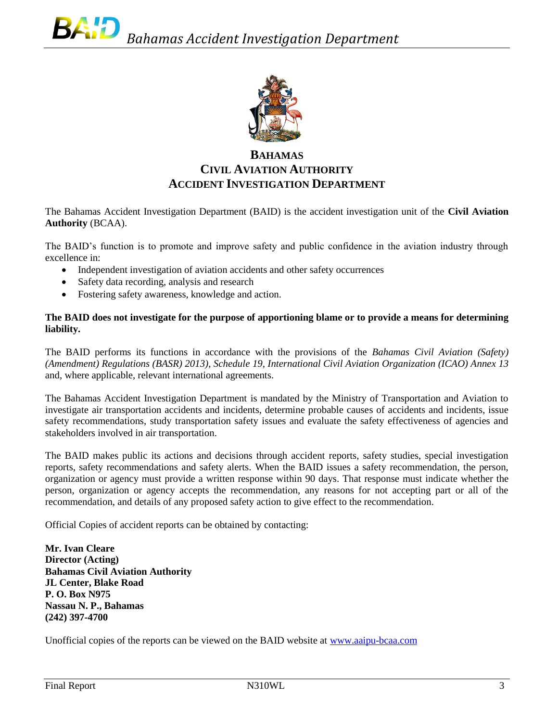

# **BAHAMAS CIVIL AVIATION AUTHORITY ACCIDENT INVESTIGATION DEPARTMENT**

The Bahamas Accident Investigation Department (BAID) is the accident investigation unit of the **Civil Aviation Authority** (BCAA).

The BAID's function is to promote and improve safety and public confidence in the aviation industry through excellence in:

- Independent investigation of aviation accidents and other safety occurrences
- Safety data recording, analysis and research
- Fostering safety awareness, knowledge and action.

#### **The BAID does not investigate for the purpose of apportioning blame or to provide a means for determining liability.**

The BAID performs its functions in accordance with the provisions of the *Bahamas Civil Aviation (Safety) (Amendment) Regulations (BASR) 2013), Schedule 19, International Civil Aviation Organization (ICAO) Annex 13*  and, where applicable, relevant international agreements.

The Bahamas Accident Investigation Department is mandated by the Ministry of Transportation and Aviation to investigate air transportation accidents and incidents, determine probable causes of accidents and incidents, issue safety recommendations, study transportation safety issues and evaluate the safety effectiveness of agencies and stakeholders involved in air transportation.

The BAID makes public its actions and decisions through accident reports, safety studies, special investigation reports, safety recommendations and safety alerts. When the BAID issues a safety recommendation, the person, organization or agency must provide a written response within 90 days. That response must indicate whether the person, organization or agency accepts the recommendation, any reasons for not accepting part or all of the recommendation, and details of any proposed safety action to give effect to the recommendation.

Official Copies of accident reports can be obtained by contacting:

**Mr. Ivan Cleare Director (Acting) Bahamas Civil Aviation Authority JL Center, Blake Road P. O. Box N975 Nassau N. P., Bahamas (242) 397-4700**

Unofficial copies of the reports can be viewed on the BAID website at [www.aaipu-bcaa.com](http://www.aaipu-bcaa.com/)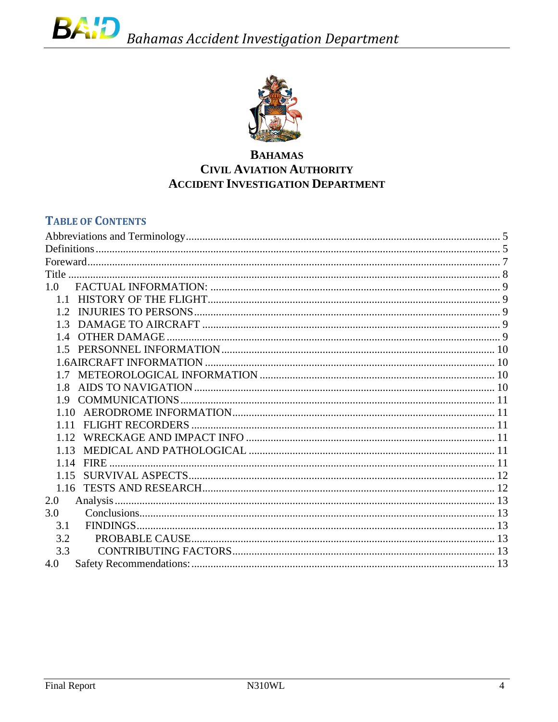

# **BAHAMAS CIVIL AVIATION AUTHORITY ACCIDENT INVESTIGATION DEPARTMENT**

# **TABLE OF CONTENTS**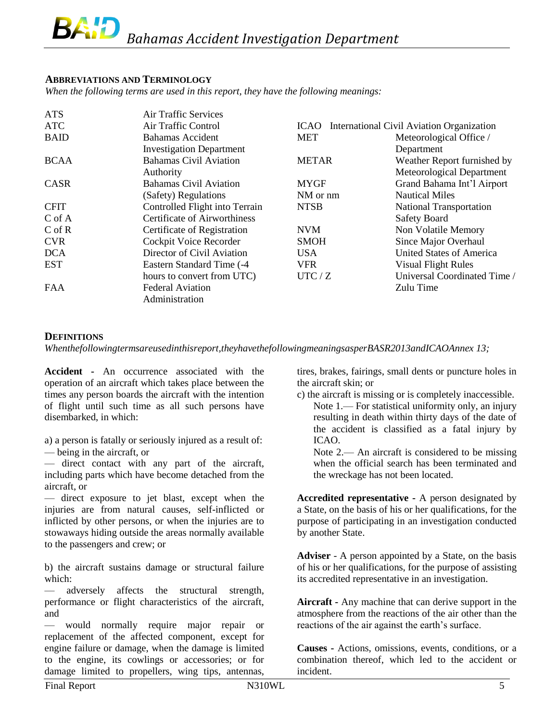## <span id="page-4-0"></span>**ABBREVIATIONS AND TERMINOLOGY**

*When the following terms are used in this report, they have the following meanings:*

| <b>ATS</b>  | Air Traffic Services                |                                |                                           |  |
|-------------|-------------------------------------|--------------------------------|-------------------------------------------|--|
| <b>ATC</b>  | Air Traffic Control                 | <b>ICAO</b>                    | International Civil Aviation Organization |  |
| <b>BAID</b> | <b>Bahamas Accident</b>             | Meteorological Office /<br>MET |                                           |  |
|             | <b>Investigation Department</b>     |                                | Department                                |  |
| <b>BCAA</b> | <b>Bahamas Civil Aviation</b>       | <b>METAR</b>                   | Weather Report furnished by               |  |
|             | Authority                           |                                | Meteorological Department                 |  |
| <b>CASR</b> | <b>Bahamas Civil Aviation</b>       | <b>MYGF</b>                    | Grand Bahama Int'l Airport                |  |
|             | (Safety) Regulations                | NM or nm                       | <b>Nautical Miles</b>                     |  |
| <b>CFIT</b> | Controlled Flight into Terrain      | <b>NTSB</b>                    | <b>National Transportation</b>            |  |
| $C$ of A    | <b>Certificate of Airworthiness</b> |                                | Safety Board                              |  |
| $C$ of $R$  | Certificate of Registration         | <b>NVM</b>                     | Non Volatile Memory                       |  |
| <b>CVR</b>  | Cockpit Voice Recorder              | <b>SMOH</b>                    | Since Major Overhaul                      |  |
| <b>DCA</b>  | Director of Civil Aviation          | <b>USA</b>                     | United States of America                  |  |
| EST         | Eastern Standard Time (-4)          | <b>VFR</b>                     | <b>Visual Flight Rules</b>                |  |
|             | hours to convert from UTC)          | UTC/Z                          | Universal Coordinated Time /              |  |
| <b>FAA</b>  | <b>Federal Aviation</b>             |                                | Zulu Time                                 |  |
|             | Administration                      |                                |                                           |  |

## <span id="page-4-1"></span>**DEFINITIONS**

*Whenthefollowingtermsareusedinthisreport,theyhavethefollowingmeaningsasperBASR2013andICAOAnnex 13;*

**Accident -** An occurrence associated with the operation of an aircraft which takes place between the times any person boards the aircraft with the intention of flight until such time as all such persons have disembarked, in which:

a) a person is fatally or seriously injured as a result of:

— being in the aircraft, or

— direct contact with any part of the aircraft, including parts which have become detached from the aircraft, or

— direct exposure to jet blast, except when the injuries are from natural causes, self-inflicted or inflicted by other persons, or when the injuries are to stowaways hiding outside the areas normally available to the passengers and crew; or

b) the aircraft sustains damage or structural failure which:

— adversely affects the structural strength, performance or flight characteristics of the aircraft, and

— would normally require major repair or replacement of the affected component, except for engine failure or damage, when the damage is limited to the engine, its cowlings or accessories; or for damage limited to propellers, wing tips, antennas,

tires, brakes, fairings, small dents or puncture holes in the aircraft skin; or

c) the aircraft is missing or is completely inaccessible. Note 1.— For statistical uniformity only, an injury resulting in death within thirty days of the date of the accident is classified as a fatal injury by ICAO.

Note 2.— An aircraft is considered to be missing when the official search has been terminated and the wreckage has not been located.

**Accredited representative -** A person designated by a State, on the basis of his or her qualifications, for the purpose of participating in an investigation conducted by another State.

**Adviser** - A person appointed by a State, on the basis of his or her qualifications, for the purpose of assisting its accredited representative in an investigation.

**Aircraft -** Any machine that can derive support in the atmosphere from the reactions of the air other than the reactions of the air against the earth's surface.

**Causes -** Actions, omissions, events, conditions, or a combination thereof, which led to the accident or incident.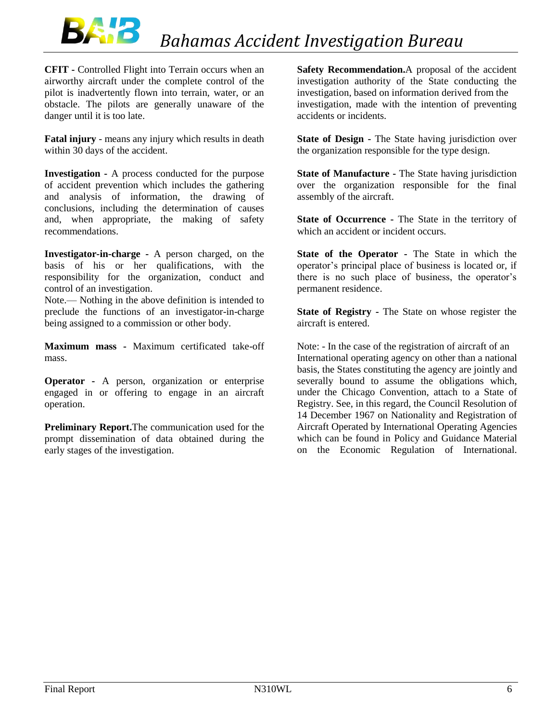

**CFIT -** Controlled Flight into Terrain occurs when an airworthy aircraft under the complete control of the pilot is inadvertently flown into terrain, water, or an obstacle. The pilots are generally unaware of the danger until it is too late.

**Fatal injury** - means any injury which results in death within 30 days of the accident.

**Investigation -** A process conducted for the purpose of accident prevention which includes the gathering and analysis of information, the drawing of conclusions, including the determination of causes and, when appropriate, the making of safety recommendations.

**Investigator-in-charge -** A person charged, on the basis of his or her qualifications, with the responsibility for the organization, conduct and control of an investigation.

Note.— Nothing in the above definition is intended to preclude the functions of an investigator-in-charge being assigned to a commission or other body.

**Maximum mass -** Maximum certificated take-off mass.

**Operator -** A person, organization or enterprise engaged in or offering to engage in an aircraft operation.

**Preliminary Report.**The communication used for the prompt dissemination of data obtained during the early stages of the investigation.

**Safety Recommendation.**A proposal of the accident investigation authority of the State conducting the investigation, based on information derived from the investigation, made with the intention of preventing accidents or incidents.

**State of Design -** The State having jurisdiction over the organization responsible for the type design.

**State of Manufacture -** The State having jurisdiction over the organization responsible for the final assembly of the aircraft.

**State of Occurrence -** The State in the territory of which an accident or incident occurs.

**State of the Operator -** The State in which the operator's principal place of business is located or, if there is no such place of business, the operator's permanent residence.

**State of Registry -** The State on whose register the aircraft is entered.

Note: - In the case of the registration of aircraft of an International operating agency on other than a national basis, the States constituting the agency are jointly and severally bound to assume the obligations which, under the Chicago Convention, attach to a State of Registry. See, in this regard, the Council Resolution of 14 December 1967 on Nationality and Registration of Aircraft Operated by International Operating Agencies which can be found in Policy and Guidance Material on the Economic Regulation of International.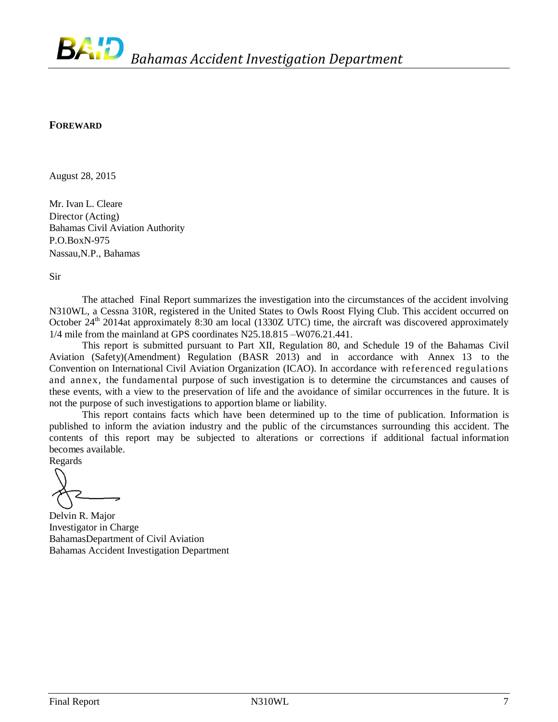#### <span id="page-6-0"></span>**FOREWARD**

August 28, 2015

Mr. Ivan L. Cleare Director (Acting) Bahamas Civil Aviation Authority P.O.BoxN-975 Nassau,N.P., Bahamas

Sir

The attached Final Report summarizes the investigation into the circumstances of the accident involving N310WL, a Cessna 310R, registered in the United States to Owls Roost Flying Club. This accident occurred on October 24<sup>th</sup> 2014at approximately 8:30 am local (1330Z UTC) time, the aircraft was discovered approximately 1/4 mile from the mainland at GPS coordinates N25.18.815 –W076.21.441.

This report is submitted pursuant to Part XII, Regulation 80, and Schedule 19 of the Bahamas Civil Aviation (Safety)(Amendment) Regulation (BASR 2013) and in accordance with Annex 13 to the Convention on International Civil Aviation Organization (ICAO). In accordance with referenced regulations and annex, the fundamental purpose of such investigation is to determine the circumstances and causes of these events, with a view to the preservation of life and the avoidance of similar occurrences in the future. It is not the purpose of such investigations to apportion blame or liability.

This report contains facts which have been determined up to the time of publication. Information is published to inform the aviation industry and the public of the circumstances surrounding this accident. The contents of this report may be subjected to alterations or corrections if additional factual information becomes available.

Regards

Delvin R. Major Investigator in Charge BahamasDepartment of Civil Aviation Bahamas Accident Investigation Department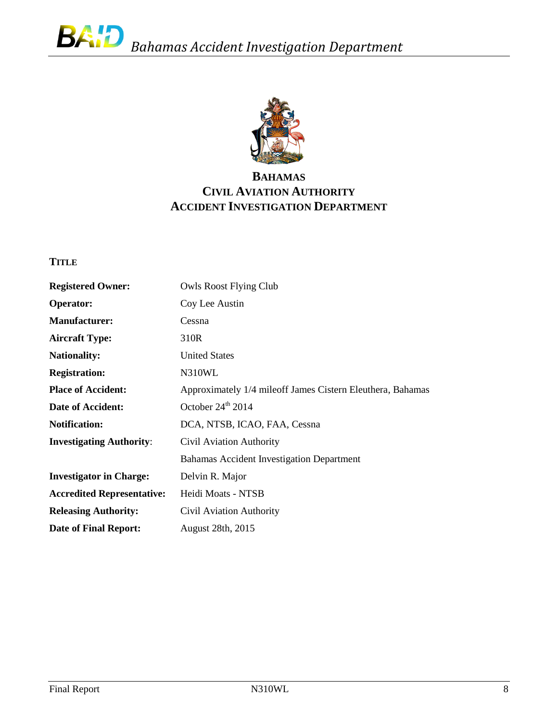

# **BAHAMAS CIVIL AVIATION AUTHORITY ACCIDENT INVESTIGATION DEPARTMENT**

# <span id="page-7-0"></span>**TITLE**

| <b>Owls Roost Flying Club</b>                              |
|------------------------------------------------------------|
| Coy Lee Austin                                             |
| Cessna                                                     |
| 310R                                                       |
| <b>United States</b>                                       |
| N310WL                                                     |
| Approximately 1/4 mileoff James Cistern Eleuthera, Bahamas |
| October $24^{\text{th}}$ 2014                              |
| DCA, NTSB, ICAO, FAA, Cessna                               |
| Civil Aviation Authority                                   |
| Bahamas Accident Investigation Department                  |
| Delvin R. Major                                            |
| Heidi Moats - NTSB                                         |
| Civil Aviation Authority                                   |
| August 28th, 2015                                          |
|                                                            |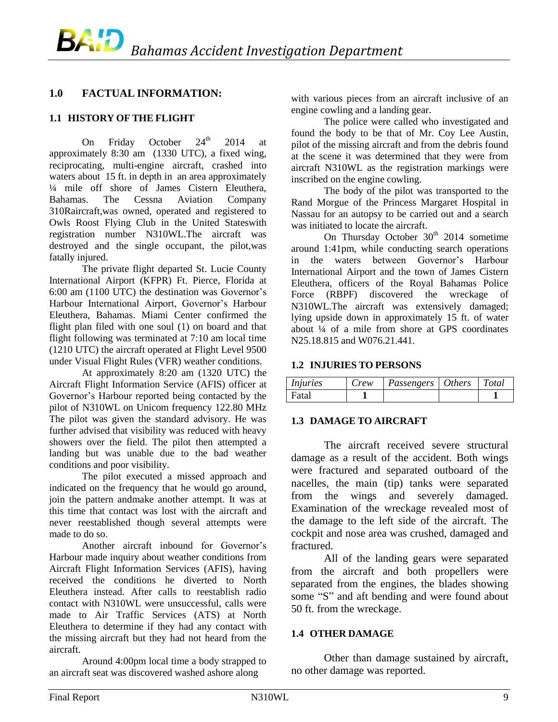# <span id="page-8-0"></span>**1.0 FACTUAL INFORMATION:**

## <span id="page-8-1"></span>**1.1 HISTORY OF THE FLIGHT**

On Friday October  $24<sup>th</sup>$  2014 at approximately 8:30 am (1330 UTC), a fixed wing, reciprocating, multi-engine aircraft, crashed into waters about 15 ft. in depth in an area approximately ¼ mile off shore of James Cistern Eleuthera, Bahamas. The Cessna Aviation Company 310Raircraft,was owned, operated and registered to Owls Roost Flying Club in the United Stateswith registration number N310WL.The aircraft was destroyed and the single occupant, the pilot,was fatally injured.

The private flight departed St. Lucie County International Airport (KFPR) Ft. Pierce, Florida at 6:00 am (1100 UTC) the destination was Governor's Harbour International Airport, Governor's Harbour Eleuthera, Bahamas. Miami Center confirmed the flight plan filed with one soul (1) on board and that flight following was terminated at 7:10 am local time (1210 UTC) the aircraft operated at Flight Level 9500 under Visual Flight Rules (VFR) weather conditions.

At approximately 8:20 am (1320 UTC) the Aircraft Flight Information Service (AFIS) officer at Governor's Harbour reported being contacted by the pilot of N310WL on Unicom frequency 122.80 MHz The pilot was given the standard advisory. He was further advised that visibility was reduced with heavy showers over the field. The pilot then attempted a landing but was unable due to the bad weather conditions and poor visibility.

The pilot executed a missed approach and indicated on the frequency that he would go around, join the pattern andmake another attempt. It was at this time that contact was lost with the aircraft and never reestablished though several attempts were made to do so.

Another aircraft inbound for Governor's Harbour made inquiry about weather conditions from Aircraft Flight Information Services (AFIS), having received the conditions he diverted to North Eleuthera instead. After calls to reestablish radio contact with N310WL were unsuccessful, calls were made to Air Traffic Services (ATS) at North Eleuthera to determine if they had any contact with the missing aircraft but they had not heard from the aircraft.

Around 4:00pm local time a body strapped to an aircraft seat was discovered washed ashore along

with various pieces from an aircraft inclusive of an engine cowling and a landing gear.

The police were called who investigated and found the body to be that of Mr. Coy Lee Austin, pilot of the missing aircraft and from the debris found at the scene it was determined that they were from aircraft N310WL as the registration markings were inscribed on the engine cowling.

The body of the pilot was transported to the Rand Morgue of the Princess Margaret Hospital in Nassau for an autopsy to be carried out and a search was initiated to locate the aircraft.

On Thursday October  $30<sup>th</sup>$  2014 sometime around 1:41pm, while conducting search operations in the waters between Governor's Harbour International Airport and the town of James Cistern Eleuthera, officers of the Royal Bahamas Police Force (RBPF) discovered the wreckage of N310WL.The aircraft was extensively damaged; lying upside down in approximately 15 ft. of water about  $\frac{1}{4}$  of a mile from shore at GPS coordinates N25.18.815 and W076.21.441.

#### <span id="page-8-2"></span>**1.2 INJURIES TO PERSONS**

| <i>Injuries</i> | Crew | Passengers   Others   Total |  |
|-----------------|------|-----------------------------|--|
| Fatal           |      |                             |  |

## <span id="page-8-3"></span>**1.3 DAMAGE TO AIRCRAFT**

The aircraft received severe structural damage as a result of the accident. Both wings were fractured and separated outboard of the nacelles, the main (tip) tanks were separated from the wings and severely damaged. Examination of the wreckage revealed most of the damage to the left side of the aircraft. The cockpit and nose area was crushed, damaged and fractured.

All of the landing gears were separated from the aircraft and both propellers were separated from the engines, the blades showing some "S" and aft bending and were found about 50 ft. from the wreckage.

## <span id="page-8-4"></span>**1.4 OTHER DAMAGE**

Other than damage sustained by aircraft, no other damage was reported.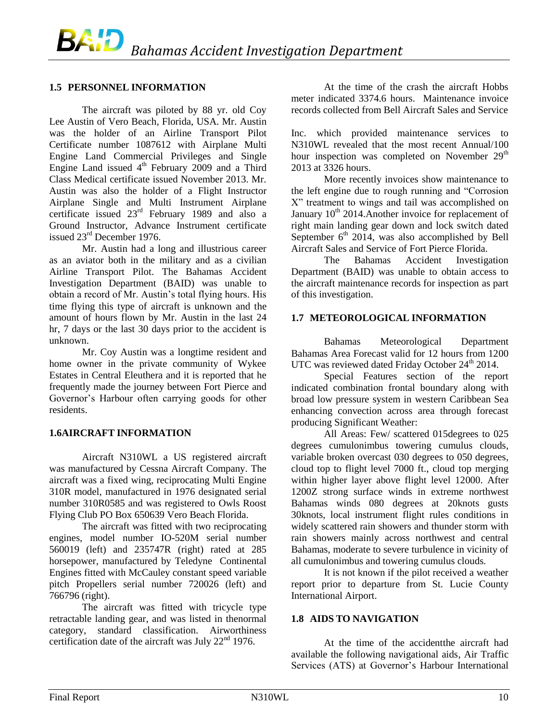#### <span id="page-9-0"></span>**1.5 PERSONNEL INFORMATION**

The aircraft was piloted by 88 yr. old Coy Lee Austin of Vero Beach, Florida, USA. Mr. Austin was the holder of an Airline Transport Pilot Certificate number 1087612 with Airplane Multi Engine Land Commercial Privileges and Single Engine Land issued  $4<sup>th</sup>$  February 2009 and a Third Class Medical certificate issued November 2013. Mr. Austin was also the holder of a Flight Instructor Airplane Single and Multi Instrument Airplane certificate issued 23rd February 1989 and also a Ground Instructor, Advance Instrument certificate issued 23rd December 1976.

Mr. Austin had a long and illustrious career as an aviator both in the military and as a civilian Airline Transport Pilot. The Bahamas Accident Investigation Department (BAID) was unable to obtain a record of Mr. Austin's total flying hours. His time flying this type of aircraft is unknown and the amount of hours flown by Mr. Austin in the last 24 hr, 7 days or the last 30 days prior to the accident is unknown.

Mr. Coy Austin was a longtime resident and home owner in the private community of Wykee Estates in Central Eleuthera and it is reported that he frequently made the journey between Fort Pierce and Governor's Harbour often carrying goods for other residents.

#### <span id="page-9-1"></span>**1.6AIRCRAFT INFORMATION**

Aircraft N310WL a US registered aircraft was manufactured by Cessna Aircraft Company. The aircraft was a fixed wing, reciprocating Multi Engine 310R model, manufactured in 1976 designated serial number 310R0585 and was registered to Owls Roost Flying Club PO Box 650639 Vero Beach Florida.

The aircraft was fitted with two reciprocating engines, model number IO-520M serial number 560019 (left) and 235747R (right) rated at 285 horsepower, manufactured by Teledyne Continental Engines fitted with McCauley constant speed variable pitch Propellers serial number 720026 (left) and 766796 (right).

The aircraft was fitted with tricycle type retractable landing gear, and was listed in thenormal category, standard classification. Airworthiness certification date of the aircraft was July 22<sup>nd</sup> 1976.

At the time of the crash the aircraft Hobbs meter indicated 3374.6 hours. Maintenance invoice records collected from Bell Aircraft Sales and Service

Inc. which provided maintenance services to N310WL revealed that the most recent Annual/100 hour inspection was completed on November  $29<sup>th</sup>$ 2013 at 3326 hours.

More recently invoices show maintenance to the left engine due to rough running and "Corrosion X" treatment to wings and tail was accomplished on January 10<sup>th</sup> 2014. Another invoice for replacement of right main landing gear down and lock switch dated September  $6<sup>th</sup>$  2014, was also accomplished by Bell Aircraft Sales and Service of Fort Pierce Florida.

The Bahamas Accident Investigation Department (BAID) was unable to obtain access to the aircraft maintenance records for inspection as part of this investigation.

#### <span id="page-9-2"></span>**1.7 METEOROLOGICAL INFORMATION**

Bahamas Meteorological Department Bahamas Area Forecast valid for 12 hours from 1200 UTC was reviewed dated Friday October  $24<sup>th</sup> 2014$ .

Special Features section of the report indicated combination frontal boundary along with broad low pressure system in western Caribbean Sea enhancing convection across area through forecast producing Significant Weather:

All Areas: Few/ scattered 015degrees to 025 degrees cumulonimbus towering cumulus clouds, variable broken overcast 030 degrees to 050 degrees, cloud top to flight level 7000 ft., cloud top merging within higher layer above flight level 12000. After 1200Z strong surface winds in extreme northwest Bahamas winds 080 degrees at 20knots gusts 30knots, local instrument flight rules conditions in widely scattered rain showers and thunder storm with rain showers mainly across northwest and central Bahamas, moderate to severe turbulence in vicinity of all cumulonimbus and towering cumulus clouds.

It is not known if the pilot received a weather report prior to departure from St. Lucie County International Airport.

#### <span id="page-9-3"></span>**1.8 AIDS TO NAVIGATION**

At the time of the accidentthe aircraft had available the following navigational aids, Air Traffic Services (ATS) at Governor's Harbour International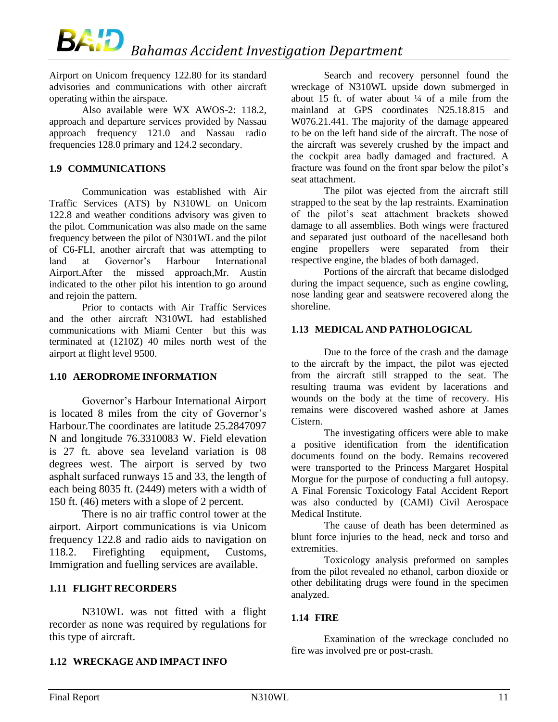Airport on Unicom frequency 122.80 for its standard advisories and communications with other aircraft operating within the airspace.

Also available were WX AWOS-2: 118.2, approach and departure services provided by Nassau approach frequency 121.0 and Nassau radio frequencies 128.0 primary and 124.2 secondary.

## <span id="page-10-0"></span>**1.9 COMMUNICATIONS**

Communication was established with Air Traffic Services (ATS) by N310WL on Unicom 122.8 and weather conditions advisory was given to the pilot. Communication was also made on the same frequency between the pilot of N301WL and the pilot of C6-FLI, another aircraft that was attempting to land at Governor's Harbour International Airport.After the missed approach,Mr. Austin indicated to the other pilot his intention to go around and rejoin the pattern.

Prior to contacts with Air Traffic Services and the other aircraft N310WL had established communications with Miami Center but this was terminated at (1210Z) 40 miles north west of the airport at flight level 9500.

## <span id="page-10-1"></span>**1.10 AERODROME INFORMATION**

Governor's Harbour International Airport is located 8 miles from the city of Governor's Harbour.The coordinates are latitude 25.2847097 N and longitude 76.3310083 W. Field elevation is 27 ft. above sea leveland variation is 08 degrees west. The airport is served by two asphalt surfaced runways 15 and 33, the length of each being 8035 ft. (2449) meters with a width of 150 ft. (46) meters with a slope of 2 percent.

There is no air traffic control tower at the airport. Airport communications is via Unicom frequency 122.8 and radio aids to navigation on 118.2. Firefighting equipment, Customs, Immigration and fuelling services are available.

## <span id="page-10-2"></span>**1.11 FLIGHT RECORDERS**

N310WL was not fitted with a flight recorder as none was required by regulations for this type of aircraft.

<span id="page-10-3"></span>**1.12 WRECKAGE AND IMPACT INFO**

Search and recovery personnel found the wreckage of N310WL upside down submerged in about 15 ft. of water about  $\frac{1}{4}$  of a mile from the mainland at GPS coordinates N25.18.815 and W076.21.441. The majority of the damage appeared to be on the left hand side of the aircraft. The nose of the aircraft was severely crushed by the impact and the cockpit area badly damaged and fractured. A fracture was found on the front spar below the pilot's seat attachment.

The pilot was ejected from the aircraft still strapped to the seat by the lap restraints. Examination of the pilot's seat attachment brackets showed damage to all assemblies. Both wings were fractured and separated just outboard of the nacellesand both engine propellers were separated from their respective engine, the blades of both damaged.

Portions of the aircraft that became dislodged during the impact sequence, such as engine cowling, nose landing gear and seatswere recovered along the shoreline.

## <span id="page-10-4"></span>**1.13 MEDICAL AND PATHOLOGICAL**

Due to the force of the crash and the damage to the aircraft by the impact, the pilot was ejected from the aircraft still strapped to the seat. The resulting trauma was evident by lacerations and wounds on the body at the time of recovery. His remains were discovered washed ashore at James Cistern.

The investigating officers were able to make a positive identification from the identification documents found on the body. Remains recovered were transported to the Princess Margaret Hospital Morgue for the purpose of conducting a full autopsy. A Final Forensic Toxicology Fatal Accident Report was also conducted by (CAMI) Civil Aerospace Medical Institute.

The cause of death has been determined as blunt force injuries to the head, neck and torso and extremities.

Toxicology analysis preformed on samples from the pilot revealed no ethanol, carbon dioxide or other debilitating drugs were found in the specimen analyzed.

# <span id="page-10-5"></span>**1.14 FIRE**

Examination of the wreckage concluded no fire was involved pre or post-crash.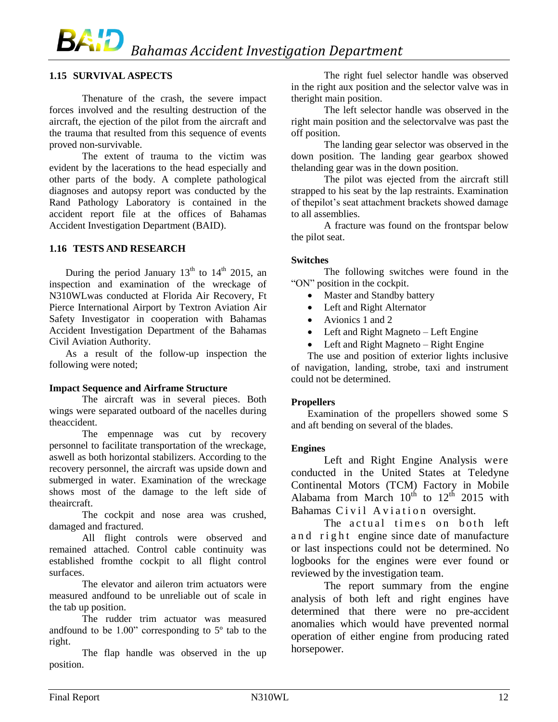# BA¦D *Bahamas Accident Investigation Department*

#### <span id="page-11-0"></span>**1.15 SURVIVAL ASPECTS**

Thenature of the crash, the severe impact forces involved and the resulting destruction of the aircraft, the ejection of the pilot from the aircraft and the trauma that resulted from this sequence of events proved non-survivable.

The extent of trauma to the victim was evident by the lacerations to the head especially and other parts of the body. A complete pathological diagnoses and autopsy report was conducted by the Rand Pathology Laboratory is contained in the accident report file at the offices of Bahamas Accident Investigation Department (BAID).

#### <span id="page-11-1"></span>**1.16 TESTS AND RESEARCH**

During the period January  $13<sup>th</sup>$  to  $14<sup>th</sup>$  2015, an inspection and examination of the wreckage of N310WLwas conducted at Florida Air Recovery, Ft Pierce International Airport by Textron Aviation Air Safety Investigator in cooperation with Bahamas Accident Investigation Department of the Bahamas Civil Aviation Authority.

As a result of the follow-up inspection the following were noted;

#### **Impact Sequence and Airframe Structure**

The aircraft was in several pieces. Both wings were separated outboard of the nacelles during theaccident.

The empennage was cut by recovery personnel to facilitate transportation of the wreckage, aswell as both horizontal stabilizers. According to the recovery personnel, the aircraft was upside down and submerged in water. Examination of the wreckage shows most of the damage to the left side of theaircraft.

The cockpit and nose area was crushed, damaged and fractured.

All flight controls were observed and remained attached. Control cable continuity was established fromthe cockpit to all flight control surfaces.

The elevator and aileron trim actuators were measured andfound to be unreliable out of scale in the tab up position.

The rudder trim actuator was measured andfound to be 1.00" corresponding to 5º tab to the right.

The flap handle was observed in the up position.

The right fuel selector handle was observed in the right aux position and the selector valve was in theright main position.

The left selector handle was observed in the right main position and the selectorvalve was past the off position.

The landing gear selector was observed in the down position. The landing gear gearbox showed thelanding gear was in the down position.

The pilot was ejected from the aircraft still strapped to his seat by the lap restraints. Examination of thepilot's seat attachment brackets showed damage to all assemblies.

A fracture was found on the frontspar below the pilot seat.

#### **Switches**

The following switches were found in the "ON" position in the cockpit.

- Master and Standby battery
- Left and Right Alternator
- Avionics 1 and 2
- Left and Right Magneto Left Engine
- Left and Right Magneto Right Engine

The use and position of exterior lights inclusive of navigation, landing, strobe, taxi and instrument could not be determined.

#### **Propellers**

Examination of the propellers showed some S and aft bending on several of the blades.

#### **Engines**

Left and Right Engine Analysis were conducted in the United States at Teledyne Continental Motors (TCM) Factory in Mobile Alabama from March  $10^{th}$  to  $12^{th}$  2015 with Bahamas Civil Aviation oversight.

The actual times on both left and right engine since date of manufacture or last inspections could not be determined. No logbooks for the engines were ever found or reviewed by the investigation team.

The report summary from the engine analysis of both left and right engines have determined that there were no pre-accident anomalies which would have prevented normal operation of either engine from producing rated horsepower.